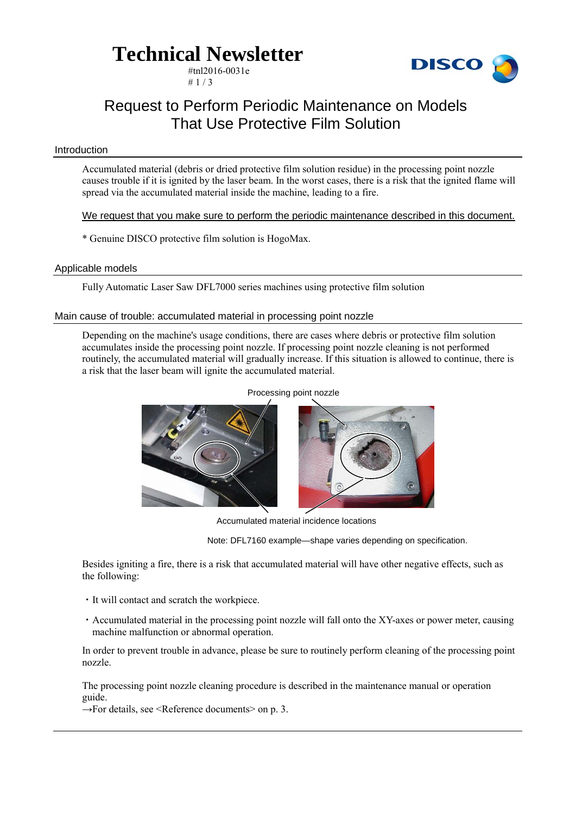### **Technical Newsletter**

#tnl2016-0031e  $# 1 / 3$ 



### Request to Perform Periodic Maintenance on Models That Use Protective Film Solution

### Introduction

Accumulated material (debris or dried protective film solution residue) in the processing point nozzle causes trouble if it is ignited by the laser beam. In the worst cases, there is a risk that the ignited flame will spread via the accumulated material inside the machine, leading to a fire.

We request that you make sure to perform the periodic maintenance described in this document.

\* Genuine DISCO protective film solution is HogoMax.

### Applicable models

Fully Automatic Laser Saw DFL7000 series machines using protective film solution

### Main cause of trouble: accumulated material in processing point nozzle

Depending on the machine's usage conditions, there are cases where debris or protective film solution accumulates inside the processing point nozzle. If processing point nozzle cleaning is not performed routinely, the accumulated material will gradually increase. If this situation is allowed to continue, there is a risk that the laser beam will ignite the accumulated material.



Accumulated material incidence locations

Note: DFL7160 example—shape varies depending on specification.

Besides igniting a fire, there is a risk that accumulated material will have other negative effects, such as the following:

- ・It will contact and scratch the workpiece.
- ・Accumulated material in the processing point nozzle will fall onto the XY-axes or power meter, causing machine malfunction or abnormal operation.

In order to prevent trouble in advance, please be sure to routinely perform cleaning of the processing point nozzle.

The processing point nozzle cleaning procedure is described in the maintenance manual or operation guide.

 $\rightarrow$ For details, see <Reference documents> on p. 3.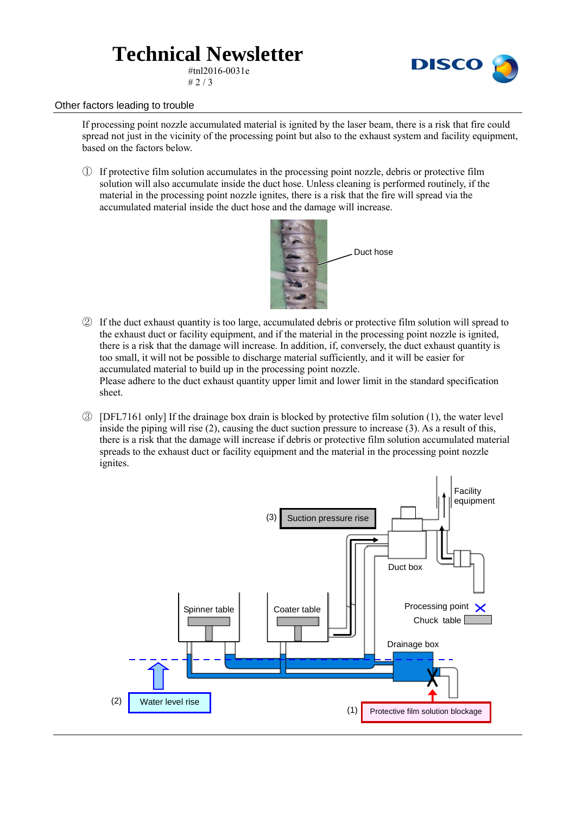## **Technical Newsletter**

#tnl2016-0031e  $# 2 / 3$ 



### Other factors leading to trouble

If processing point nozzle accumulated material is ignited by the laser beam, there is a risk that fire could spread not just in the vicinity of the processing point but also to the exhaust system and facility equipment, based on the factors below.

① If protective film solution accumulates in the processing point nozzle, debris or protective film solution will also accumulate inside the duct hose. Unless cleaning is performed routinely, if the material in the processing point nozzle ignites, there is a risk that the fire will spread via the accumulated material inside the duct hose and the damage will increase.



② If the duct exhaust quantity is too large, accumulated debris or protective film solution will spread to the exhaust duct or facility equipment, and if the material in the processing point nozzle is ignited, there is a risk that the damage will increase. In addition, if, conversely, the duct exhaust quantity is too small, it will not be possible to discharge material sufficiently, and it will be easier for accumulated material to build up in the processing point nozzle.

Please adhere to the duct exhaust quantity upper limit and lower limit in the standard specification sheet.

③ [DFL7161 only] If the drainage box drain is blocked by protective film solution (1), the water level inside the piping will rise (2), causing the duct suction pressure to increase (3). As a result of this, there is a risk that the damage will increase if debris or protective film solution accumulated material spreads to the exhaust duct or facility equipment and the material in the processing point nozzle ignites.